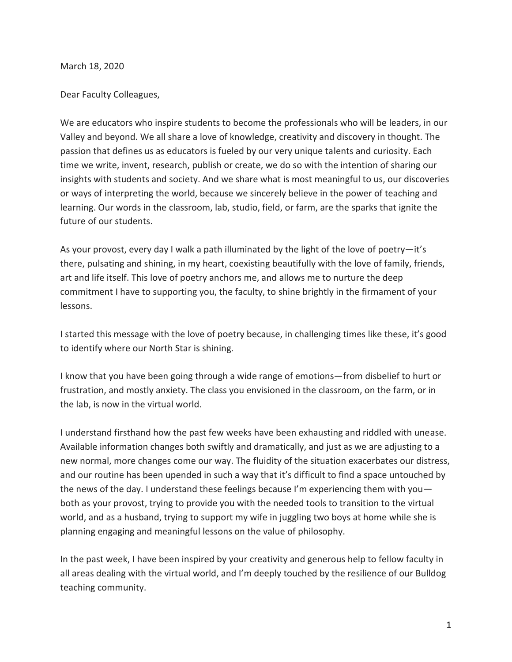March 18, 2020

Dear Faculty Colleagues,

We are educators who inspire students to become the professionals who will be leaders, in our Valley and beyond. We all share a love of knowledge, creativity and discovery in thought. The passion that defines us as educators is fueled by our very unique talents and curiosity. Each time we write, invent, research, publish or create, we do so with the intention of sharing our insights with students and society. And we share what is most meaningful to us, our discoveries or ways of interpreting the world, because we sincerely believe in the power of teaching and learning. Our words in the classroom, lab, studio, field, or farm, are the sparks that ignite the future of our students.

As your provost, every day I walk a path illuminated by the light of the love of poetry—it's there, pulsating and shining, in my heart, coexisting beautifully with the love of family, friends, art and life itself. This love of poetry anchors me, and allows me to nurture the deep commitment I have to supporting you, the faculty, to shine brightly in the firmament of your lessons.

I started this message with the love of poetry because, in challenging times like these, it's good to identify where our North Star is shining.

I know that you have been going through a wide range of emotions—from disbelief to hurt or frustration, and mostly anxiety. The class you envisioned in the classroom, on the farm, or in the lab, is now in the virtual world.

I understand firsthand how the past few weeks have been exhausting and riddled with unease. Available information changes both swiftly and dramatically, and just as we are adjusting to a new normal, more changes come our way. The fluidity of the situation exacerbates our distress, and our routine has been upended in such a way that it's difficult to find a space untouched by the news of the day. I understand these feelings because I'm experiencing them with you both as your provost, trying to provide you with the needed tools to transition to the virtual world, and as a husband, trying to support my wife in juggling two boys at home while she is planning engaging and meaningful lessons on the value of philosophy.

In the past week, I have been inspired by your creativity and generous help to fellow faculty in all areas dealing with the virtual world, and I'm deeply touched by the resilience of our Bulldog teaching community.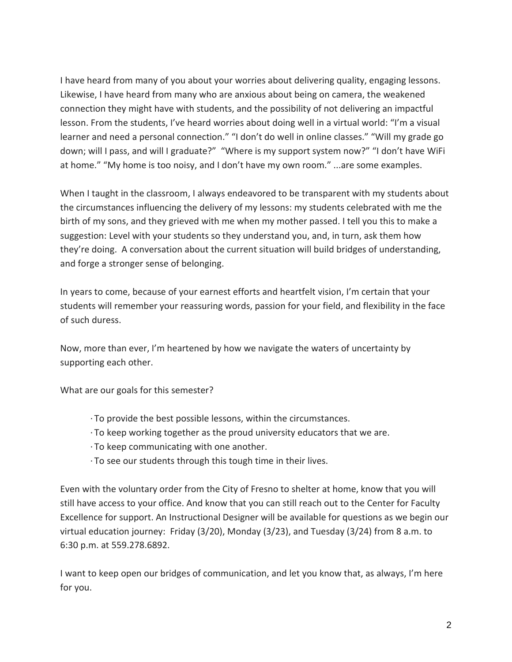I have heard from many of you about your worries about delivering quality, engaging lessons. Likewise, I have heard from many who are anxious about being on camera, the weakened connection they might have with students, and the possibility of not delivering an impactful lesson. From the students, I've heard worries about doing well in a virtual world: "I'm a visual learner and need a personal connection." "I don't do well in online classes." "Will my grade go down; will I pass, and will I graduate?" "Where is my support system now?" "I don't have WiFi at home." "My home is too noisy, and I don't have my own room." ...are some examples.

When I taught in the classroom, I always endeavored to be transparent with my students about the circumstances influencing the delivery of my lessons: my students celebrated with me the birth of my sons, and they grieved with me when my mother passed. I tell you this to make a suggestion: Level with your students so they understand you, and, in turn, ask them how they're doing. A conversation about the current situation will build bridges of understanding, and forge a stronger sense of belonging.

In years to come, because of your earnest efforts and heartfelt vision, I'm certain that your students will remember your reassuring words, passion for your field, and flexibility in the face of such duress.

Now, more than ever, I'm heartened by how we navigate the waters of uncertainty by supporting each other.

What are our goals for this semester?

- · To provide the best possible lessons, within the circumstances.
- · To keep working together as the proud university educators that we are.
- · To keep communicating with one another.
- · To see our students through this tough time in their lives.

Even with the voluntary order from the City of Fresno to shelter at home, know that you will still have access to your office. And know that you can still reach out to the Center for Faculty Excellence for support. An Instructional Designer will be available for questions as we begin our virtual education journey: Friday (3/20), Monday (3/23), and Tuesday (3/24) from 8 a.m. to 6:30 p.m. at 559.278.6892.

I want to keep open our bridges of communication, and let you know that, as always, I'm here for you.